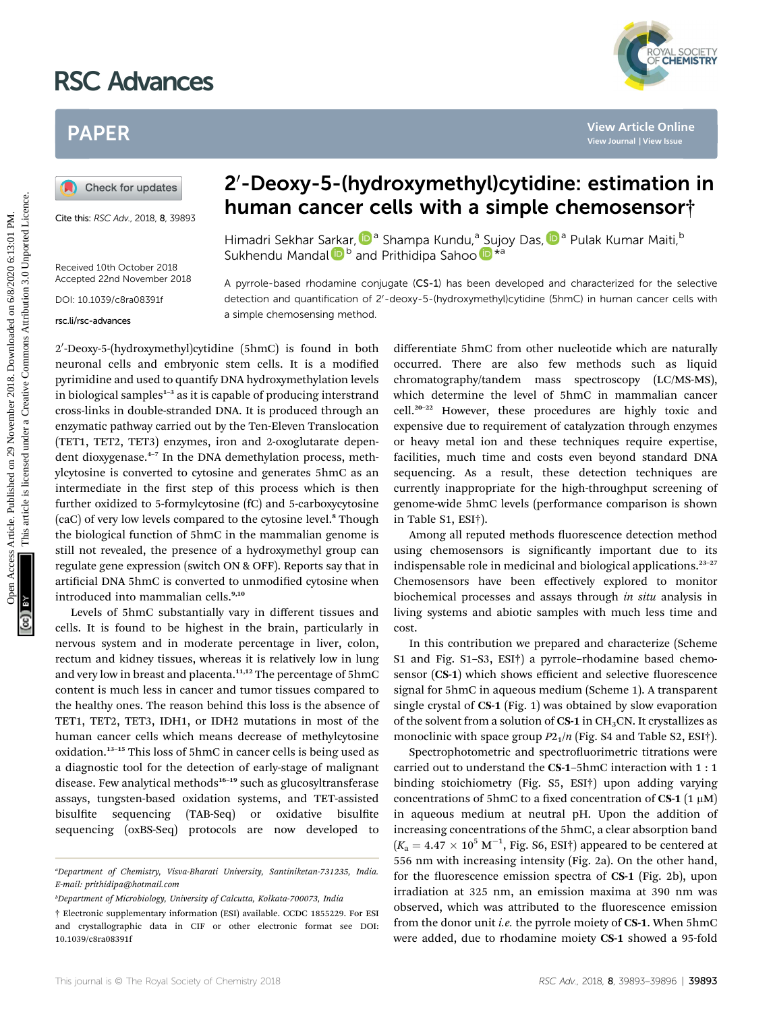# RSC Advances



# PAPER

Cite this: RSC Adv., 2018, 8, 39893

Received 10th October 2018 Accepted 22nd November 2018

DOI: 10.1039/c8ra08391f

rsc.li/rsc-advances

# 2'-Deoxy-5-(hydroxymethyl)cytidine: estimation in human cancer cells with a simple chemosensor†

Himadri Sekhar S[arka](http://orcid.org/0000-0002-7752-0982)r, D<sup>a</sup> Shampa Kundu,<sup>a</sup> [Su](http://orcid.org/0000-0001-8493-7068)joy Das[,](http://orcid.org/0000-0003-3921-0999) D<sup>a</sup> Pulak Kumar Maiti, <sup>b</sup> Sukhendu Mandal D<sup>b</sup> and Prithidipa Sahoo D<sup>\*a</sup>

A pyrrole-based rhodamine conjugate (CS-1) has been developed and characterized for the selective detection and quantification of 2'-deoxy-5-(hydroxymethyl)cytidine (5hmC) in human cancer cells with a simple chemosensing method.

2′-Deoxy-5-(hydroxymethyl)cytidine (5hmC) is found in both neuronal cells and embryonic stem cells. It is a modified pyrimidine and used to quantify DNA hydroxymethylation levels in biological samples<sup>1-3</sup> as it is capable of producing interstrand cross-links in double-stranded DNA. It is produced through an enzymatic pathway carried out by the Ten-Eleven Translocation (TET1, TET2, TET3) enzymes, iron and 2-oxoglutarate dependent dioxygenase.<sup>4</sup>–<sup>7</sup> In the DNA demethylation process, methylcytosine is converted to cytosine and generates 5hmC as an intermediate in the first step of this process which is then further oxidized to 5-formylcytosine (fC) and 5-carboxycytosine (caC) of very low levels compared to the cytosine level.<sup>8</sup> Though the biological function of 5hmC in the mammalian genome is still not revealed, the presence of a hydroxymethyl group can regulate gene expression (switch ON & OFF). Reports say that in artificial DNA 5hmC is converted to unmodified cytosine when introduced into mammalian cells.<sup>9,10</sup> **PAPER**<br> **(a)** Cheek for updates<br>
Cut  $\frac{1}{2}$  Cheek for updates<br>
Cut  $\frac{1}{2}$  Cut  $\frac{1}{2}$  Cut  $\frac{1}{2}$  Cut  $\frac{1}{2}$  Cut  $\frac{1}{2}$  Cut  $\frac{1}{2}$  Cut  $\frac{1}{2}$  Cut  $\frac{1}{2}$  Cut  $\frac{1}{2}$  Cut  $\frac{1}{2}$  Cut  $\frac{1}{2}$ 

Levels of 5hmC substantially vary in different tissues and cells. It is found to be highest in the brain, particularly in nervous system and in moderate percentage in liver, colon, rectum and kidney tissues, whereas it is relatively low in lung and very low in breast and placenta.<sup>11,12</sup> The percentage of 5hmC content is much less in cancer and tumor tissues compared to the healthy ones. The reason behind this loss is the absence of TET1, TET2, TET3, IDH1, or IDH2 mutations in most of the human cancer cells which means decrease of methylcytosine oxidation.<sup>13</sup>–<sup>15</sup> This loss of 5hmC in cancer cells is being used as a diagnostic tool for the detection of early-stage of malignant disease. Few analytical methods<sup>16-19</sup> such as glucosyltransferase assays, tungsten-based oxidation systems, and TET-assisted bisulfite sequencing (TAB-Seq) or oxidative bisulfite sequencing (oxBS-Seq) protocols are now developed to

differentiate 5hmC from other nucleotide which are naturally occurred. There are also few methods such as liquid chromatography/tandem mass spectroscopy (LC/MS-MS), which determine the level of 5hmC in mammalian cancer cell.<sup>20</sup>–<sup>22</sup> However, these procedures are highly toxic and expensive due to requirement of catalyzation through enzymes or heavy metal ion and these techniques require expertise, facilities, much time and costs even beyond standard DNA sequencing. As a result, these detection techniques are currently inappropriate for the high-throughput screening of genome-wide 5hmC levels (performance comparison is shown in Table S1, ESI†).

Among all reputed methods fluorescence detection method using chemosensors is significantly important due to its indispensable role in medicinal and biological applications.<sup>23</sup>–<sup>27</sup> Chemosensors have been effectively explored to monitor biochemical processes and assays through in situ analysis in living systems and abiotic samples with much less time and cost.

In this contribution we prepared and characterize (Scheme S1 and Fig. S1–S3, ESI†) a pyrrole–rhodamine based chemosensor  $(CS-1)$  which shows efficient and selective fluorescence signal for 5hmC in aqueous medium (Scheme 1). A transparent single crystal of CS-1 (Fig. 1) was obtained by slow evaporation of the solvent from a solution of  $CS-1$  in  $CH<sub>3</sub>CN$ . It crystallizes as monoclinic with space group  $P2_1/n$  (Fig. S4 and Table S2, ESI†).

Spectrophotometric and spectrofluorimetric titrations were carried out to understand the CS-1–5hmC interaction with 1 : 1 binding stoichiometry (Fig. S5, ESI†) upon adding varying concentrations of 5hmC to a fixed concentration of  $CS-1$  (1  $\mu$ M) in aqueous medium at neutral pH. Upon the addition of increasing concentrations of the 5hmC, a clear absorption band  $(K_{\rm a}=4.47\times 10^5~{\rm M}^{-1},$  Fig. S6, ESI†) appeared to be centered at 556 nm with increasing intensity (Fig. 2a). On the other hand, for the fluorescence emission spectra of  $CS-1$  (Fig. 2b), upon irradiation at 325 nm, an emission maxima at 390 nm was observed, which was attributed to the fluorescence emission from the donor unit *i.e.* the pyrrole moiety of CS-1. When 5hmC were added, due to rhodamine moiety CS-1 showed a 95-fold

a Department of Chemistry, Visva-Bharati University, Santiniketan-731235, India. E-mail: prithidipa@hotmail.com

b Department of Microbiology, University of Calcutta, Kolkata-700073, India

<sup>†</sup> Electronic supplementary information (ESI) available. CCDC 1855229. For ESI and crystallographic data in CIF or other electronic format see DOI: 10.1039/c8ra08391f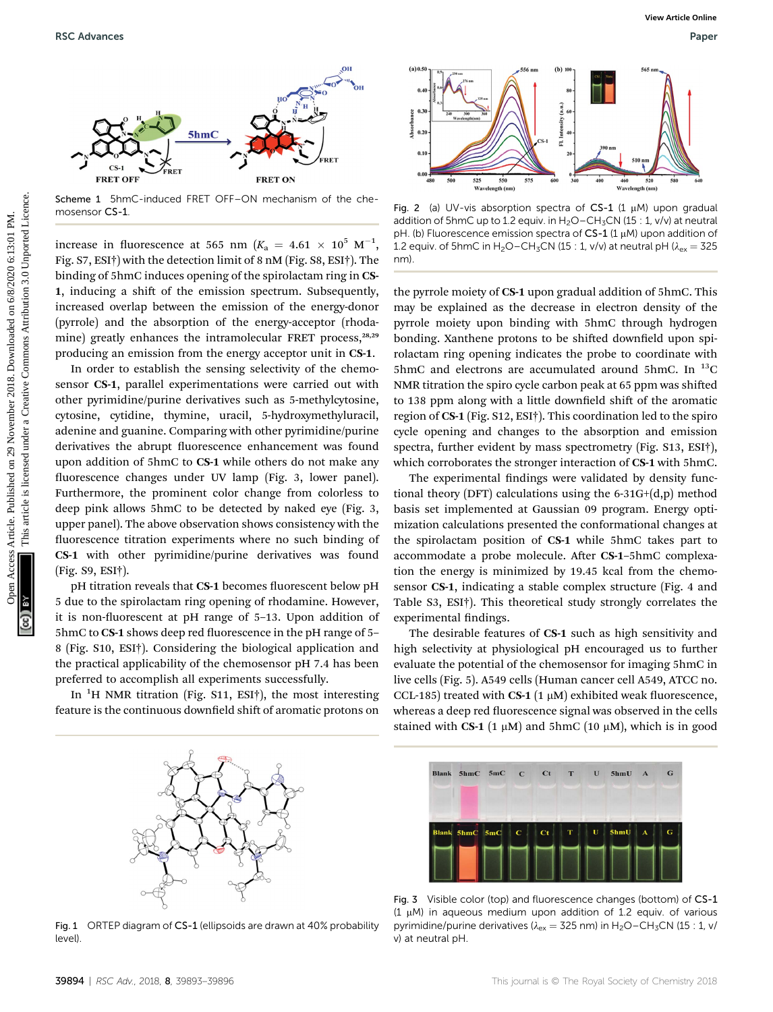

Scheme 1 5hmC-induced FRET OFF–ON mechanism of the chemosensor CS-1.

increase in fluorescence at 565 nm  $(K_a = 4.61 \times 10^5 \text{ M}^{-1},$ Fig. S7, ESI†) with the detection limit of 8 nM (Fig. S8, ESI†). The binding of 5hmC induces opening of the spirolactam ring in CS-1, inducing a shift of the emission spectrum. Subsequently, increased overlap between the emission of the energy-donor (pyrrole) and the absorption of the energy-acceptor (rhodamine) greatly enhances the intramolecular FRET process,<sup>28,29</sup> producing an emission from the energy acceptor unit in CS-1.

In order to establish the sensing selectivity of the chemosensor CS-1, parallel experimentations were carried out with other pyrimidine/purine derivatives such as 5-methylcytosine, cytosine, cytidine, thymine, uracil, 5-hydroxymethyluracil, adenine and guanine. Comparing with other pyrimidine/purine derivatives the abrupt fluorescence enhancement was found upon addition of 5hmC to CS-1 while others do not make any fluorescence changes under UV lamp (Fig. 3, lower panel). Furthermore, the prominent color change from colorless to deep pink allows 5hmC to be detected by naked eye (Fig. 3, upper panel). The above observation shows consistency with the fluorescence titration experiments where no such binding of CS-1 with other pyrimidine/purine derivatives was found (Fig. S9, ESI†). BSC Advances Wew Methods Articles. Published on 29 November 2018. The common article of the stress article is like the stress are articles. The common article of the stress are articles are articles are articles are artic

pH titration reveals that CS-1 becomes fluorescent below pH 5 due to the spirolactam ring opening of rhodamine. However, it is non-fluorescent at  $pH$  range of 5–13. Upon addition of 5hmC to CS-1 shows deep red fluorescence in the pH range of 5– 8 (Fig. S10, ESI†). Considering the biological application and the practical applicability of the chemosensor pH 7.4 has been preferred to accomplish all experiments successfully.

In  ${}^{1}$ H NMR titration (Fig. S11, ESI†), the most interesting feature is the continuous downfield shift of aromatic protons on



Fig. 2 (a) UV-vis absorption spectra of CS-1 (1  $\mu$ M) upon gradual addition of 5hmC up to 1.2 equiv. in  $H_2O-CH_3CN$  (15 : 1, v/v) at neutral pH. (b) Fluorescence emission spectra of  $CS-1$  (1  $\mu$ M) upon addition of 1.2 equiv. of 5hmC in H<sub>2</sub>O–CH<sub>3</sub>CN (15 : 1, v/v) at neutral pH ( $\lambda_{ex}$  = 325 nm).

the pyrrole moiety of CS-1 upon gradual addition of 5hmC. This may be explained as the decrease in electron density of the pyrrole moiety upon binding with 5hmC through hydrogen bonding. Xanthene protons to be shifted downfield upon spirolactam ring opening indicates the probe to coordinate with 5hmC and electrons are accumulated around 5hmC. In  $^{13}$ C NMR titration the spiro cycle carbon peak at 65 ppm was shifted to 138 ppm along with a little downfield shift of the aromatic region of CS-1 (Fig. S12, ESI†). This coordination led to the spiro cycle opening and changes to the absorption and emission spectra, further evident by mass spectrometry (Fig. S13, ESI†), which corroborates the stronger interaction of CS-1 with 5hmC.

The experimental findings were validated by density functional theory (DFT) calculations using the 6-31G+(d,p) method basis set implemented at Gaussian 09 program. Energy optimization calculations presented the conformational changes at the spirolactam position of CS-1 while 5hmC takes part to accommodate a probe molecule. After CS-1-5hmC complexation the energy is minimized by 19.45 kcal from the chemosensor CS-1, indicating a stable complex structure (Fig. 4 and Table S3, ESI†). This theoretical study strongly correlates the experimental findings.

The desirable features of CS-1 such as high sensitivity and high selectivity at physiological pH encouraged us to further evaluate the potential of the chemosensor for imaging 5hmC in live cells (Fig. 5). A549 cells (Human cancer cell A549, ATCC no. CCL-185) treated with CS-1 (1  $\mu$ M) exhibited weak fluorescence, whereas a deep red fluorescence signal was observed in the cells stained with CS-1 (1  $\mu$ M) and 5hmC (10  $\mu$ M), which is in good



Fig. 1 ORTEP diagram of CS-1 (ellipsoids are drawn at 40% probability level).



Fig. 3 Visible color (top) and fluorescence changes (bottom) of CS-1  $(1 \mu)$  in aqueous medium upon addition of 1.2 equiv. of various pyrimidine/purine derivatives ( $\lambda_{ex}$  = 325 nm) in H<sub>2</sub>O–CH<sub>3</sub>CN (15 : 1, v/ v) at neutral pH.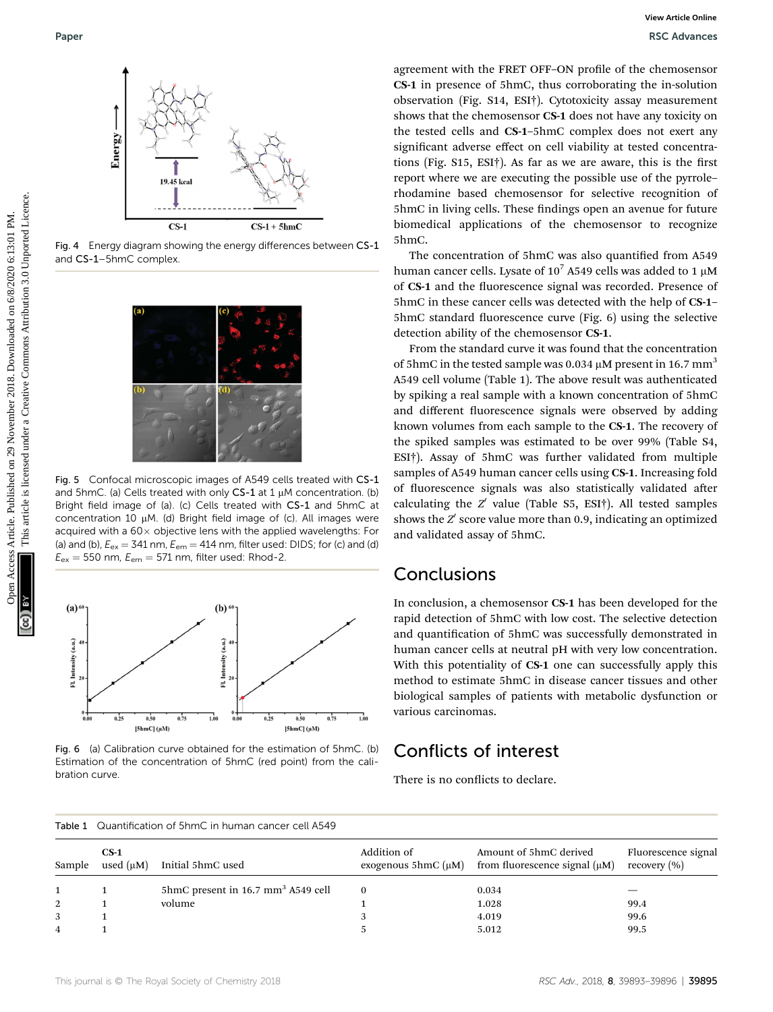

Fig. 4 Energy diagram showing the energy differences between CS-1 and CS-1–5hmC complex.



Fig. 5 Confocal microscopic images of A549 cells treated with CS-1 and 5hmC. (a) Cells treated with only  $CS-1$  at  $1 \mu$ M concentration. (b) Bright field image of (a). (c) Cells treated with CS-1 and 5hmC at concentration 10  $\mu$ M. (d) Bright field image of (c). All images were acquired with a  $60\times$  objective lens with the applied wavelengths: For (a) and (b),  $E_{ex} = 341$  nm,  $E_{em} = 414$  nm, filter used: DIDS; for (c) and (d)  $E_{\text{ex}} = 550$  nm,  $E_{\text{em}} = 571$  nm, filter used: Rhod-2.



Fig. 6 (a) Calibration curve obtained for the estimation of 5hmC. (b) Estimation of the concentration of 5hmC (red point) from the calibration curve.

Table 1 Quantification of 5hmC in human cancer cell A549

agreement with the FRET OFF-ON profile of the chemosensor CS-1 in presence of 5hmC, thus corroborating the in-solution observation (Fig. S14, ESI†). Cytotoxicity assay measurement shows that the chemosensor CS-1 does not have any toxicity on the tested cells and CS-1–5hmC complex does not exert any significant adverse effect on cell viability at tested concentrations (Fig.  $S15$ ,  $ESI<sup>+</sup>$ ). As far as we are aware, this is the first report where we are executing the possible use of the pyrrole– rhodamine based chemosensor for selective recognition of 5hmC in living cells. These findings open an avenue for future biomedical applications of the chemosensor to recognize 5hmC.

The concentration of 5hmC was also quantified from A549 human cancer cells. Lysate of  $10^7$  A549 cells was added to 1  $\mu$ M of CS-1 and the fluorescence signal was recorded. Presence of 5hmC in these cancer cells was detected with the help of CS-1– 5hmC standard fluorescence curve (Fig. 6) using the selective detection ability of the chemosensor CS-1.

From the standard curve it was found that the concentration of 5hmC in the tested sample was 0.034  $\mu$ M present in 16.7 mm<sup>3</sup> A549 cell volume (Table 1). The above result was authenticated by spiking a real sample with a known concentration of 5hmC and different fluorescence signals were observed by adding known volumes from each sample to the CS-1. The recovery of the spiked samples was estimated to be over 99% (Table S4, ESI†). Assay of 5hmC was further validated from multiple samples of A549 human cancer cells using CS-1. Increasing fold of fluorescence signals was also statistically validated after calculating the  $Z'$  value (Table S5, ESI†). All tested samples shows the  $Z'$  score value more than 0.9, indicating an optimized and validated assay of 5hmC. Paper<br>
November 2018. November 2018. Downloaded on 2018. Developed the change of 2018. The special on 2018. Developed the common of 2018. The common of 2018. The common of 2018. The common of 2018. The common of 2018. The

#### Conclusions

In conclusion, a chemosensor CS-1 has been developed for the rapid detection of 5hmC with low cost. The selective detection and quantification of 5hmC was successfully demonstrated in human cancer cells at neutral pH with very low concentration. With this potentiality of CS-1 one can successfully apply this method to estimate 5hmC in disease cancer tissues and other biological samples of patients with metabolic dysfunction or various carcinomas.

#### Conflicts of interest

There is no conflicts to declare.

| Sample | $CS-1$<br>used $(\mu M)$ | Initial 5hmC used                                 | Addition of | Amount of 5hmC derived<br>exogenous 5hmC $(\mu M)$ from fluorescence signal $(\mu M)$ | Fluorescence signal<br>recovery $(\% )$ |
|--------|--------------------------|---------------------------------------------------|-------------|---------------------------------------------------------------------------------------|-----------------------------------------|
|        |                          | $5$ hmC present in 16.7 mm <sup>3</sup> A549 cell |             | 0.034                                                                                 |                                         |
|        |                          | volume                                            |             | 1.028                                                                                 | 99.4                                    |
|        |                          |                                                   |             | 4.019                                                                                 | 99.6                                    |
|        |                          |                                                   |             | 5.012                                                                                 | 99.5                                    |